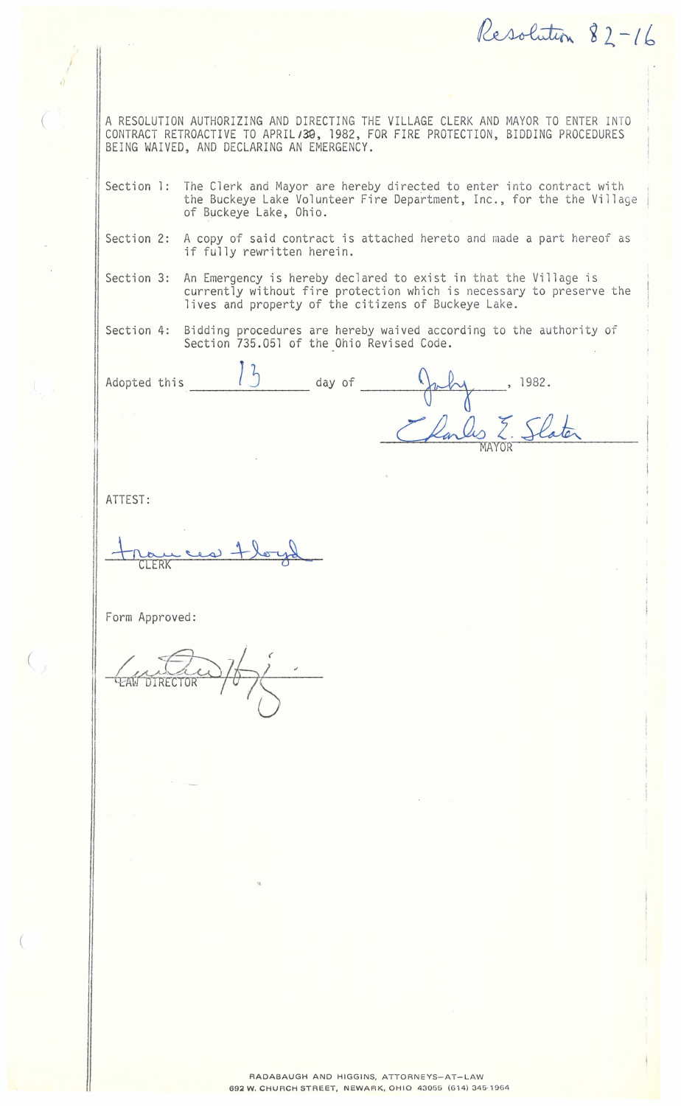Resolution 82-16

A RESOLUTION AUTHORIZING AND DIRECTING THE VILLAGE CLERK AND MAYOR TO ENTER INTO CONTRACT RETROACTIVE TO APRIL/39, 1982, FOR FIRE PROTECTION, BIDDING PROCEDURES BEING WAIVED, AND DECLARING AN EMERGENCY.

- Section 1: The Clerk and Mayor are hereby directed to enter into contract with the Buckeye Lake Volunteer Fire Department, Inc., for the the Village of Buckeye Lake, Ohio.
- Section 2: A copy of said contract is attached hereto and made a part hereof as if fully rewritten herein.
- Section 3: An Emergency is hereby declared to exist in that the Village is currently without fire protection which is necessary to preserve the lives and property of the citizens of Buckeye Lake.

Section 4: Bidding procedures are hereby waived according to the authority of Section 735.051 of the Ohio Revised Code.

Adopted this **J** J day of -------- July , 1982. Parles E. Slater

ATTEST:

 $($ 

I *I* 

(

CLERK

Form Approved: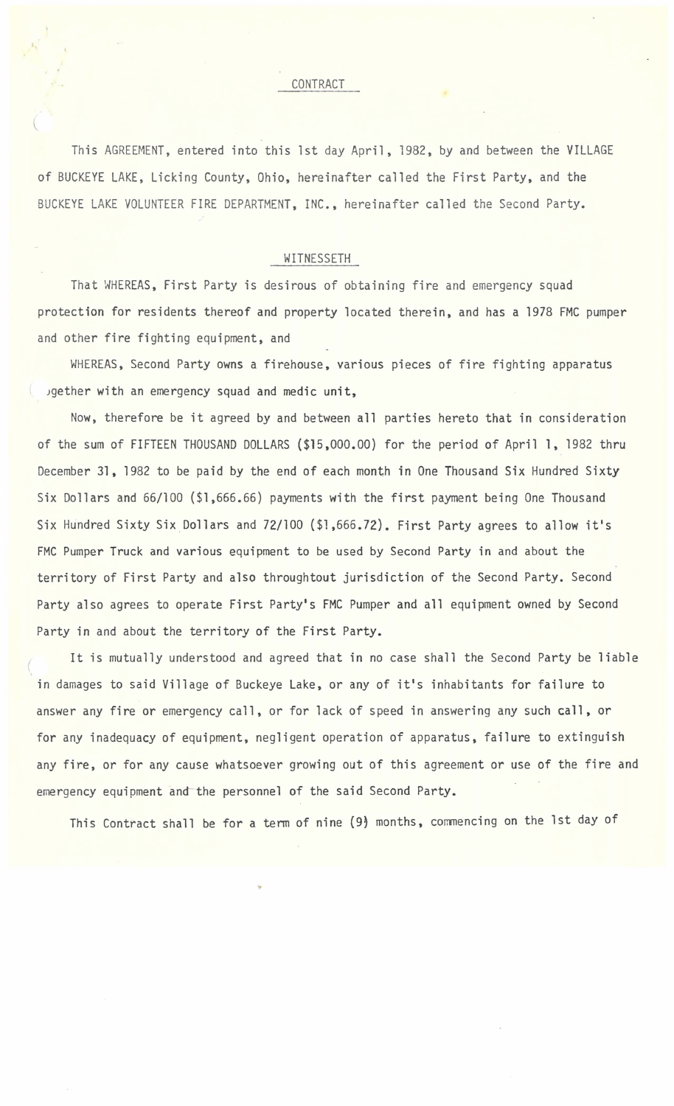This AGREEMENT, entered into this 1st day April, 1982, by and between the VILLAGE of BUCKEYE LAKE, Licking County, Ohio, hereinafter called the First Party, and the BUCKEYE LAKE VOLUNTEER FIRE DEPARTMENT, INC., hereinafter called the Second Party.

## WITNESSETH

That WHEREAS, First Party is desirous of obtaining fire and emergency squad protection for residents thereof and property located therein, and has a 1978 FMC pumper and other fire fighting equipment, and

WHEREAS, Second Party owns a firehouse, various pieces of fire fighting apparatus Jgether with an emergency squad and medic unit,

Now, therefore be it agreed by and between all parties hereto that in consideration of the sum of FIFTEEN THOUSAND DOLLARS (\$15,000.00) for the period of April 1, 1982 thru December 31, 1982 to be paid by the end of each month in One Thousand Six Hundred Sixty Six Dollars and 66/100 (\$1,666.66) payments with the first payment being One Thousand Six Hundred Sixty Six Dollars and 72/100 (\$1,666.72). First Party agrees to allow it's FMC Pumper Truck and various equipment to be used by Second Party in and about the territory of First Party and also throughtout jurisdiction of the Second Party. Second Party also agrees to operate First Party's FMC Pumper and all equipment owned by Second Party in and about the territory of the First Party.

*(*  It is mutually understood and agreed that in no case shall the Second Party be liable in damages to said Village of Buckeye Lake, or any of it's inhabitants for failure to answer any fire or emergency call, or for lack of speed in answering any such call, or for any inadequacy of equipment, negligent operation of apparatus, failure to extinguish any fire, or for any cause whatsoever growing out of this agreement or use of the fire and emergency equipment and- the personnel of the said Second Party.

This Contract shall be for a term of nine (9) months, commencing on the 1st day of